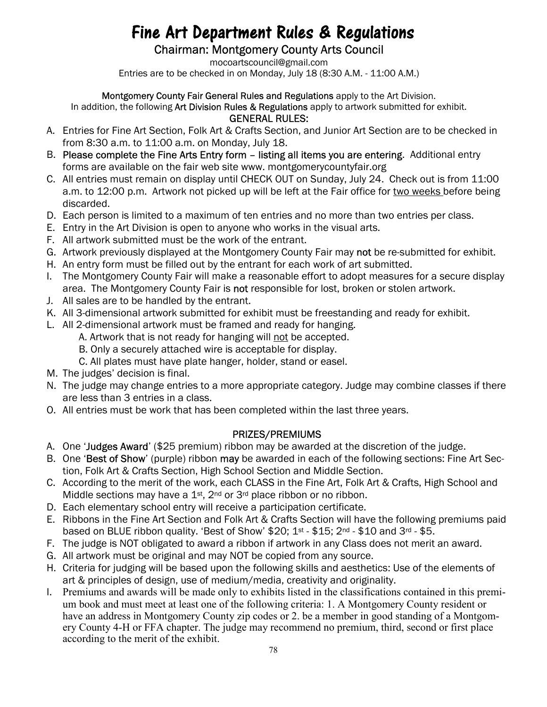# Fine Art Department Rules & Regulations

Chairman: Montgomery County Arts Council

mocoartscouncil@gmail.com Entries are to be checked in on Monday, July 18 (8:30 A.M. - 11:00 A.M.)

Montgomery County Fair General Rules and Regulations apply to the Art Division.

In addition, the following Art Division Rules & Regulations apply to artwork submitted for exhibit.

- GENERAL RULES:
- A. Entries for Fine Art Section, Folk Art & Crafts Section, and Junior Art Section are to be checked in from 8:30 a.m. to 11:00 a.m. on Monday, July 18.
- B. Please complete the Fine Arts Entry form listing all items you are entering. Additional entry forms are available on the fair web site www. montgomerycountyfair.org
- C. All entries must remain on display until CHECK OUT on Sunday, July 24. Check out is from 11:00 a.m. to 12:00 p.m. Artwork not picked up will be left at the Fair office for two weeks before being discarded.
- D. Each person is limited to a maximum of ten entries and no more than two entries per class.
- E. Entry in the Art Division is open to anyone who works in the visual arts.
- F. All artwork submitted must be the work of the entrant.
- G. Artwork previously displayed at the Montgomery County Fair may not be re-submitted for exhibit.
- H. An entry form must be filled out by the entrant for each work of art submitted.
- I. The Montgomery County Fair will make a reasonable effort to adopt measures for a secure display area. The Montgomery County Fair is not responsible for lost, broken or stolen artwork.
- J. All sales are to be handled by the entrant.
- K. All 3-dimensional artwork submitted for exhibit must be freestanding and ready for exhibit.
- L. All 2-dimensional artwork must be framed and ready for hanging.
	- A. Artwork that is not ready for hanging will not be accepted.
	- B. Only a securely attached wire is acceptable for display.
	- C. All plates must have plate hanger, holder, stand or easel.
- M. The judges' decision is final.
- N. The judge may change entries to a more appropriate category. Judge may combine classes if there are less than 3 entries in a class.
- O. All entries must be work that has been completed within the last three years.

#### PRIZES/PREMIUMS

- A. One 'Judges Award' (\$25 premium) ribbon may be awarded at the discretion of the judge.
- B. One 'Best of Show' (purple) ribbon may be awarded in each of the following sections: Fine Art Section, Folk Art & Crafts Section, High School Section and Middle Section.
- C. According to the merit of the work, each CLASS in the Fine Art, Folk Art & Crafts, High School and Middle sections may have a 1<sup>st</sup>, 2<sup>nd</sup> or 3<sup>rd</sup> place ribbon or no ribbon.
- D. Each elementary school entry will receive a participation certificate.
- E. Ribbons in the Fine Art Section and Folk Art & Crafts Section will have the following premiums paid based on BLUE ribbon quality. 'Best of Show'  $$20; 1<sup>st</sup> - $15; 2<sup>nd</sup> - $10$  and  $3<sup>rd</sup> - $5$ .
- F. The judge is NOT obligated to award a ribbon if artwork in any Class does not merit an award.
- G. All artwork must be original and may NOT be copied from any source.
- H. Criteria for judging will be based upon the following skills and aesthetics: Use of the elements of art & principles of design, use of medium/media, creativity and originality.
- I. Premiums and awards will be made only to exhibits listed in the classifications contained in this premium book and must meet at least one of the following criteria: 1. A Montgomery County resident or have an address in Montgomery County zip codes or 2. be a member in good standing of a Montgomery County 4-H or FFA chapter. The judge may recommend no premium, third, second or first place according to the merit of the exhibit.